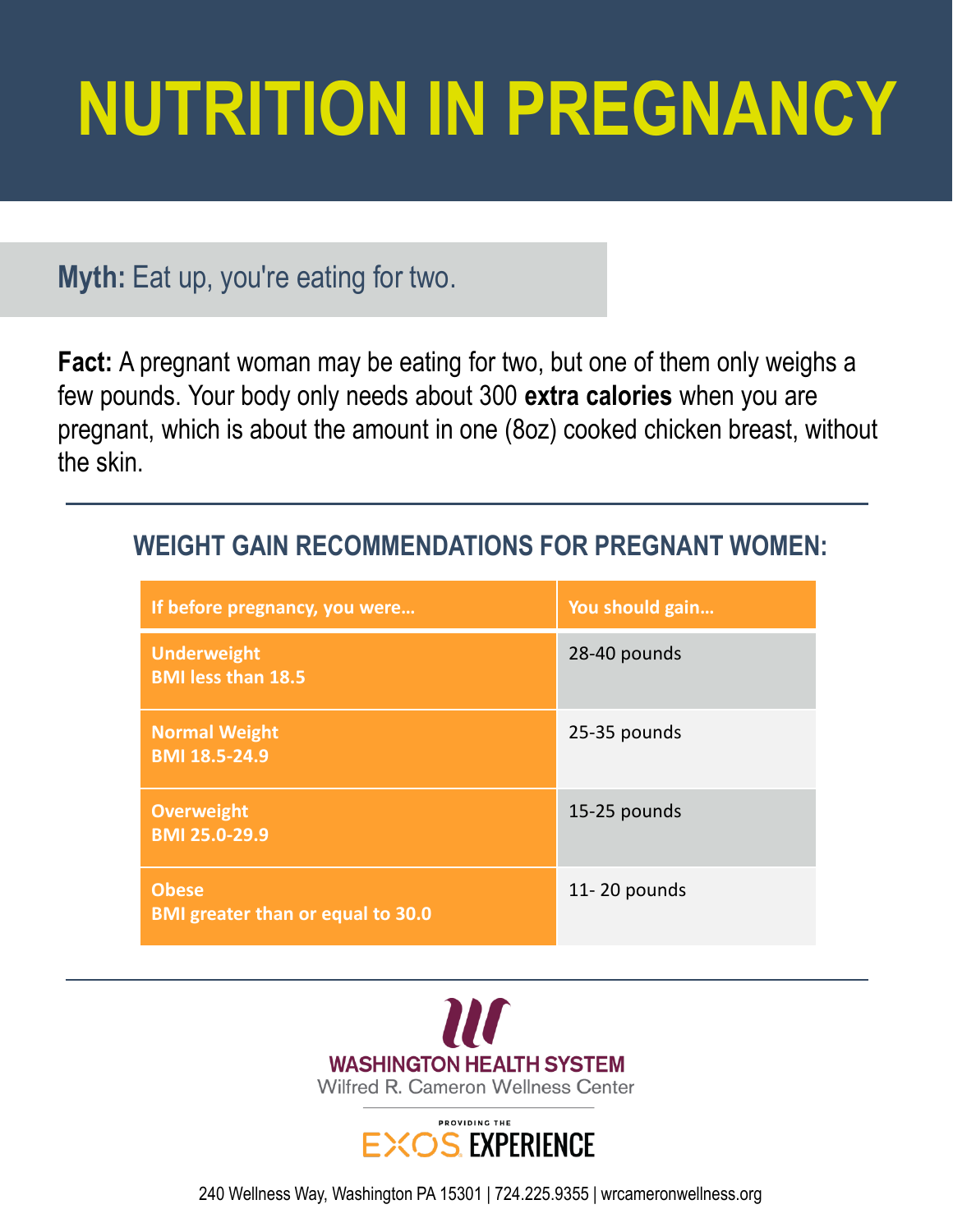# **NUTRITION IN PREGNANCY**

## **Myth:** Eat up, you're eating for two.

**Fact:** A pregnant woman may be eating for two, but one of them only weighs a few pounds. Your body only needs about 300 **extra calories** when you are pregnant, which is about the amount in one (8oz) cooked chicken breast, without the skin.

| If before pregnancy, you were                            | You should gain |
|----------------------------------------------------------|-----------------|
| <b>Underweight</b><br><b>BMI less than 18.5</b>          | 28-40 pounds    |
| <b>Normal Weight</b><br><b>BMI 18.5-24.9</b>             | 25-35 pounds    |
| <b>Overweight</b><br><b>BMI 25.0-29.9</b>                | 15-25 pounds    |
| <b>Obese</b><br><b>BMI greater than or equal to 30.0</b> | 11-20 pounds    |

### **WEIGHT GAIN RECOMMENDATIONS FOR PREGNANT WOMEN:**





240 Wellness Way, Washington PA 15301 | 724.225.9355 | wrcameronwellness.org